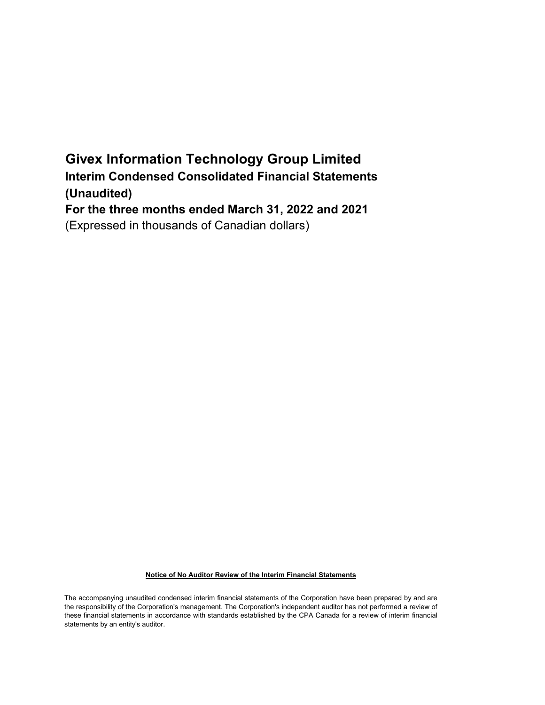# Givex Information Technology Group Limited Interim Condensed Consolidated Financial Statements (Unaudited) For the three months ended March 31, 2022 and 2021 (Expressed in thousands of Canadian dollars)

### Notice of No Auditor Review of the Interim Financial Statements

The accompanying unaudited condensed interim financial statements of the Corporation have been prepared by and are the responsibility of the Corporation's management. The Corporation's independent auditor has not performed a review of these financial statements in accordance with standards established by the CPA Canada for a review of interim financial statements by an entity's auditor.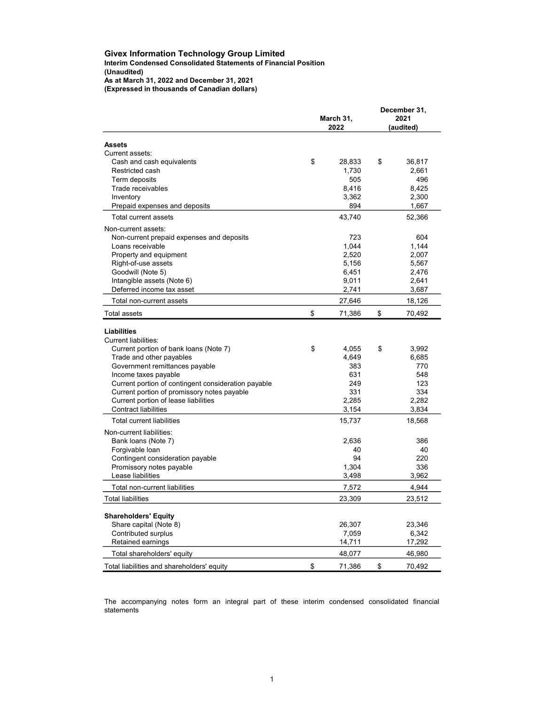### (Unaudited) As at March 31, 2022 and December 31, 2021 (Expressed in thousands of Canadian dollars) Givex Information Technology Group Limited Interim Condensed Consolidated Statements of Financial Position

|                                                                                      | March 31,<br>2022 | December 31,<br>2021<br>(audited) |        |  |
|--------------------------------------------------------------------------------------|-------------------|-----------------------------------|--------|--|
| Assets                                                                               |                   |                                   |        |  |
| Current assets:                                                                      |                   |                                   |        |  |
| Cash and cash equivalents                                                            | \$<br>28,833      | \$                                | 36,817 |  |
| Restricted cash                                                                      | 1,730             |                                   | 2,661  |  |
| Term deposits                                                                        | 505               |                                   | 496    |  |
| Trade receivables                                                                    | 8.416             |                                   | 8.425  |  |
| Inventory                                                                            | 3,362             |                                   | 2,300  |  |
| Prepaid expenses and deposits                                                        | 894               |                                   | 1,667  |  |
| Total current assets                                                                 | 43,740            |                                   | 52,366 |  |
| Non-current assets:                                                                  |                   |                                   |        |  |
| Non-current prepaid expenses and deposits                                            | 723               |                                   | 604    |  |
| Loans receivable                                                                     | 1,044             |                                   | 1,144  |  |
| Property and equipment                                                               | 2,520             |                                   | 2,007  |  |
| Right-of-use assets                                                                  | 5,156             |                                   | 5,567  |  |
| Goodwill (Note 5)                                                                    | 6,451             |                                   | 2,476  |  |
| Intangible assets (Note 6)                                                           | 9,011             |                                   | 2,641  |  |
| Deferred income tax asset                                                            | 2,741             |                                   | 3,687  |  |
| Total non-current assets                                                             | 27,646            |                                   | 18,126 |  |
| <b>Total assets</b>                                                                  | \$<br>71,386      | \$                                | 70,492 |  |
| <b>Liabilities</b><br>Current liabilities:<br>Current portion of bank loans (Note 7) | \$<br>4,055       | \$                                | 3,992  |  |
| Trade and other payables                                                             | 4,649             |                                   | 6,685  |  |
| Government remittances payable                                                       | 383               |                                   | 770    |  |
| Income taxes payable                                                                 | 631               |                                   | 548    |  |
| Current portion of contingent consideration payable                                  | 249               |                                   | 123    |  |
| Current portion of promissory notes payable                                          | 331               |                                   | 334    |  |
| Current portion of lease liabilities                                                 | 2,285             |                                   | 2,282  |  |
| Contract liabilities                                                                 | 3,154             |                                   | 3,834  |  |
| <b>Total current liabilities</b>                                                     | 15,737            |                                   | 18,568 |  |
| Non-current liabilities:                                                             |                   |                                   |        |  |
| Bank loans (Note 7)                                                                  | 2,636             |                                   | 386    |  |
| Forgivable loan                                                                      | 40                |                                   | 40     |  |
| Contingent consideration payable                                                     | 94                |                                   | 220    |  |
| Promissory notes payable                                                             | 1,304             |                                   | 336    |  |
| Lease liabilities                                                                    | 3,498             |                                   | 3,962  |  |
| Total non-current liabilities                                                        | 7,572             |                                   | 4,944  |  |
| <b>Total liabilities</b>                                                             | 23,309            |                                   | 23,512 |  |
| <b>Shareholders' Equity</b>                                                          |                   |                                   |        |  |
| Share capital (Note 8)                                                               | 26,307            |                                   | 23,346 |  |
| Contributed surplus                                                                  | 7,059             |                                   | 6,342  |  |
| Retained earnings                                                                    | 14,711            |                                   | 17,292 |  |
| Total shareholders' equity                                                           | 48,077            |                                   | 46,980 |  |
| Total liabilities and shareholders' equity                                           | \$<br>71,386      | \$                                | 70,492 |  |

The accompanying notes form an integral part of these interim condensed consolidated financial statements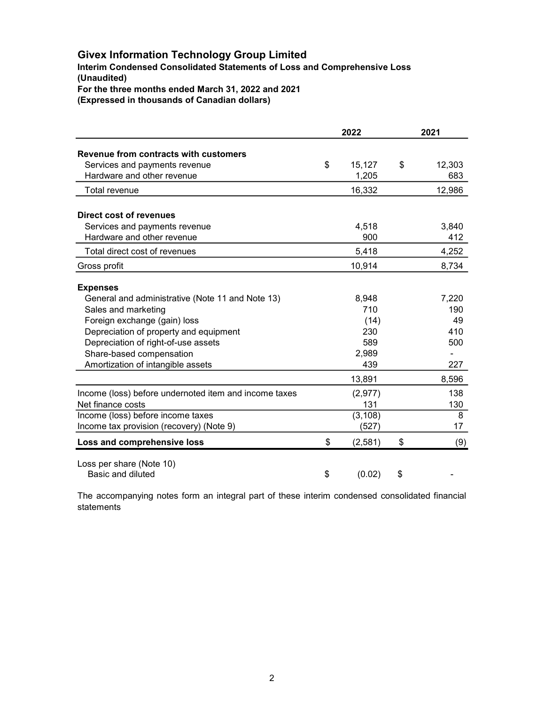## Givex Information Technology Group Limited

(Unaudited) For the three months ended March 31, 2022 and 2021 Interim Condensed Consolidated Statements of Loss and Comprehensive Loss

(Expressed in thousands of Canadian dollars)

|                                                       | 2022          | 2021         |
|-------------------------------------------------------|---------------|--------------|
| Revenue from contracts with customers                 |               |              |
| Services and payments revenue                         | \$<br>15,127  | \$<br>12,303 |
| Hardware and other revenue                            | 1,205         | 683          |
| Total revenue                                         | 16,332        | 12,986       |
|                                                       |               |              |
| Direct cost of revenues                               |               |              |
| Services and payments revenue                         | 4,518         | 3,840        |
| Hardware and other revenue                            | 900           | 412          |
| Total direct cost of revenues                         | 5,418         | 4,252        |
| Gross profit                                          | 10,914        | 8,734        |
|                                                       |               |              |
| <b>Expenses</b>                                       |               |              |
| General and administrative (Note 11 and Note 13)      | 8,948         | 7,220        |
| Sales and marketing                                   | 710           | 190          |
| Foreign exchange (gain) loss                          | (14)          | 49           |
| Depreciation of property and equipment                | 230           | 410          |
| Depreciation of right-of-use assets                   | 589           | 500          |
| Share-based compensation                              | 2,989         |              |
| Amortization of intangible assets                     | 439           | 227          |
|                                                       | 13,891        | 8,596        |
| Income (loss) before undernoted item and income taxes | (2, 977)      | 138          |
| Net finance costs                                     | 131           | 130          |
| Income (loss) before income taxes                     | (3, 108)      | 8            |
| Income tax provision (recovery) (Note 9)              | (527)         | 17           |
| Loss and comprehensive loss                           | \$<br>(2,581) | \$<br>(9)    |
| Loss per share (Note 10)                              |               |              |
| Basic and diluted                                     | \$<br>(0.02)  | \$           |

The accompanying notes form an integral part of these interim condensed consolidated financial statements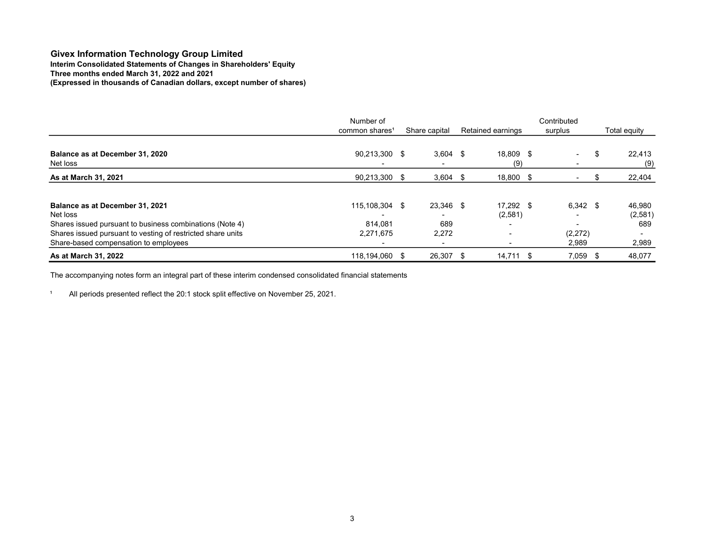## Three months ended March 31, 2022 and 2021 (Expressed in thousands of Canadian dollars, except number of shares) Givex Information Technology Group Limited Interim Consolidated Statements of Changes in Shareholders' Equity

|                                                                                                                                     | Number of                  |  |               |                   |                  | Contributed |                          |    |                 |
|-------------------------------------------------------------------------------------------------------------------------------------|----------------------------|--|---------------|-------------------|------------------|-------------|--------------------------|----|-----------------|
|                                                                                                                                     | common shares <sup>1</sup> |  | Share capital | Retained earnings |                  | surplus     |                          |    | Total equity    |
| Balance as at December 31, 2020<br>Net loss                                                                                         | 90,213,300 \$              |  | $3,604$ \$    |                   | 18,809 \$<br>(9) |             | $\overline{\phantom{0}}$ | \$ | 22,413<br>(9)   |
| As at March 31, 2021                                                                                                                | 90,213,300 \$              |  | $3,604$ \$    |                   | 18,800 \$        |             |                          |    | 22,404          |
| Balance as at December 31, 2021                                                                                                     | 115,108,304 \$             |  | 23,346 \$     |                   | 17,292 \$        |             | $6,342$ \$               |    | 46,980          |
| Net loss<br>Shares issued pursuant to business combinations (Note 4)<br>Shares issued pursuant to vesting of restricted share units | 814.081<br>2,271,675       |  | 689<br>2,272  |                   | (2,581)          |             | (2,272)                  |    | (2,581)<br>689  |
| Share-based compensation to employees<br>As at March 31, 2022                                                                       | 118,194,060 \$             |  | 26,307 \$     |                   | 14,711 \$        |             | 2,989<br>7,059           |    | 2,989<br>48,077 |

The accompanying notes form an integral part of these interim condensed consolidated financial statements

<sup>1</sup> All periods presented reflect the 20:1 stock split effective on November 25, 2021.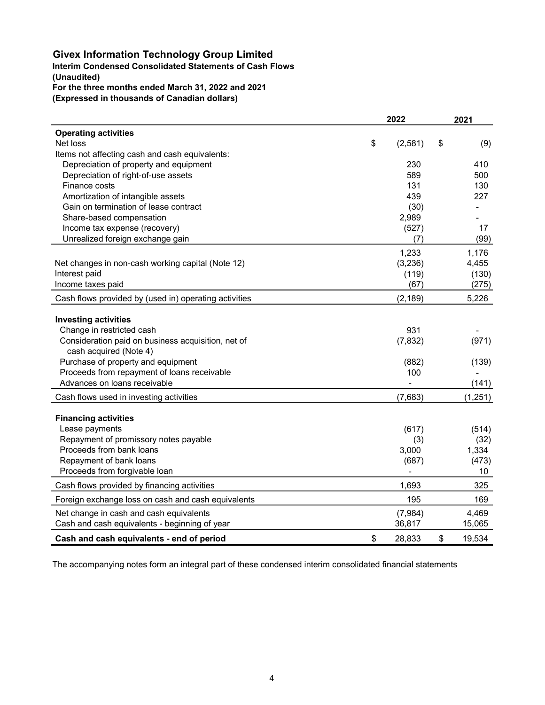## Givex Information Technology Group Limited

## (Unaudited) Interim Condensed Consolidated Statements of Cash Flows For the three months ended March 31, 2022 and 2021

(Expressed in thousands of Canadian dollars)

|                                                       | 2022          |    |         |
|-------------------------------------------------------|---------------|----|---------|
| <b>Operating activities</b>                           |               |    |         |
| Net loss                                              | \$<br>(2,581) | \$ | (9)     |
| Items not affecting cash and cash equivalents:        |               |    |         |
| Depreciation of property and equipment                | 230           |    | 410     |
| Depreciation of right-of-use assets                   | 589           |    | 500     |
| Finance costs                                         | 131           |    | 130     |
| Amortization of intangible assets                     | 439           |    | 227     |
| Gain on termination of lease contract                 | (30)          |    |         |
| Share-based compensation                              | 2,989         |    |         |
| Income tax expense (recovery)                         | (527)         |    | 17      |
| Unrealized foreign exchange gain                      | (7)           |    | (99)    |
|                                                       | 1,233         |    | 1,176   |
| Net changes in non-cash working capital (Note 12)     | (3,236)       |    | 4,455   |
| Interest paid                                         | (119)         |    | (130)   |
| Income taxes paid                                     | (67)          |    | (275)   |
| Cash flows provided by (used in) operating activities | (2, 189)      |    | 5,226   |
|                                                       |               |    |         |
| <b>Investing activities</b>                           |               |    |         |
| Change in restricted cash                             | 931           |    |         |
| Consideration paid on business acquisition, net of    | (7, 832)      |    | (971)   |
| cash acquired (Note 4)                                |               |    |         |
| Purchase of property and equipment                    | (882)         |    | (139)   |
| Proceeds from repayment of loans receivable           | 100           |    |         |
| Advances on loans receivable                          |               |    | (141)   |
| Cash flows used in investing activities               | (7,683)       |    | (1,251) |
| <b>Financing activities</b>                           |               |    |         |
| Lease payments                                        | (617)         |    | (514)   |
| Repayment of promissory notes payable                 | (3)           |    | (32)    |
| Proceeds from bank loans                              | 3,000         |    | 1,334   |
| Repayment of bank loans                               | (687)         |    | (473)   |
| Proceeds from forgivable loan                         |               |    | 10      |
| Cash flows provided by financing activities           | 1,693         |    | 325     |
| Foreign exchange loss on cash and cash equivalents    | 195           |    | 169     |
| Net change in cash and cash equivalents               | (7,984)       |    | 4,469   |
| Cash and cash equivalents - beginning of year         | 36,817        |    | 15,065  |
| Cash and cash equivalents - end of period             | \$<br>28,833  | \$ | 19,534  |

The accompanying notes form an integral part of these condensed interim consolidated financial statements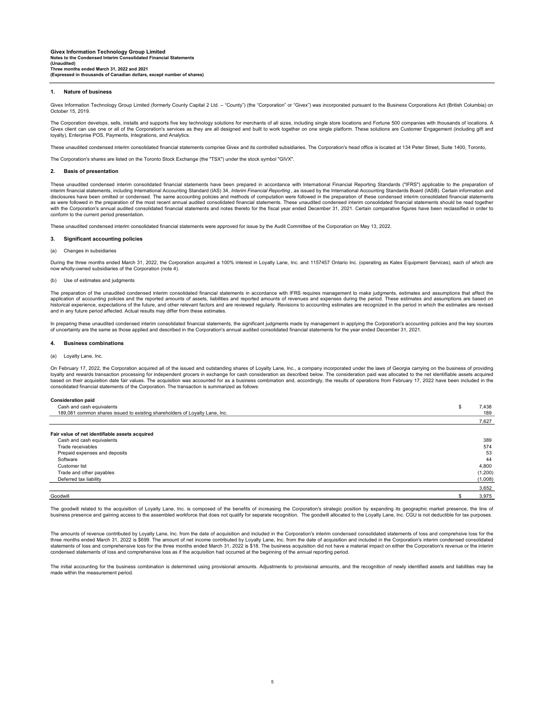#### 1. Nature of business

Givex Information Technology Group Limited (formerly County Capital 2 Ltd. – "County") (the "Corporation" or "Givex") was incorporated pursuant to the Business Corporations Act (British Columbia) on October 15, 2019.

The Corporation develops, sells, installs and supports five key technology solutions for merchants of all sizes, including single store locations and Fortune 500 companies with thousands of locations. A Givex client can use one or all of the Corporation's services as they are all designed and built to work together on one single platform. These solutions are Customer Engagement (including gift and loyalty), Enterprise POS, Payments, Integrations, and Analytics.

These unaudited condensed interim consolidated financial statements comprise Givex and its controlled subsidiaries. The Corporation's head office is located at 134 Peter Street, Suite 1400, Toronto,

The Corporation's shares are listed on the Toronto Stock Exchange (the "TSX") under the stock symbol "GIVX".

#### 2. Basis of presentation

These unaudited condensed interim consolidated financial statements have been prepared in accordance with International Financial Reporting Standards ("IFRS") applicable to the preparation of interim financial statements, including International Accounting Standard (IAS) 34, Interim Financial Reporting , as issued by the International Accounting Standards Board (IASB). Certain information and disclosures have been omitted or condensed. The same accounting policies and methods of computation were followed in the preparation of these condensed interim consolidated financial statements<br>as were followed in the prep with the Corporation's annual audited consolidated financial statements and notes thereto for the fiscal year ended December 31, 2021. Certain comparative figures have been reclassified in order to conform to the current period presentation.

These unaudited condensed interim consolidated financial statements were approved for issue by the Audit Committee of the Corporation on May 13, 2022.

#### 3. Significant accounting policies

#### (a) Changes in subsidiaries

During the three months ended March 31, 2022, the Corporation acquired a 100% interest in Loyalty Lane, Inc. and 1157457 Ontario Inc. (operating as Kalex Equipment Services), each of which are now wholly-owned subsidiaries of the Corporation (note 4).

#### (b) Use of estimates and judgments

The preparation of the unaudited condensed interim consolidated financial statements in accordance with IFRS requires management to make judgments, estimates and assumptions that affect the application of accounting policies and the reported amounts of assets, liabilities and reported amounts of revenues and expenses during the period. These estimates and assumptions are based on historical experience, expectations of the future, and other relevant factors and are reviewed regularly. Revisions to accounting estimates are recognized in the period in which the estimates are revised and in any future period affected. Actual results may differ from these estimates.

In preparing these unaudited condensed interim consolidated financial statements, the significant judgments made by management in applying the Corporation's accounting policies and the key sources of uncertainty are the same as those applied and described in the Corporation's annual audited consolidated financial statements for the year ended December 31, 2021.

#### 4. Business combinations

#### (a) Loyalty Lane, Inc.

On February 17, 2022, the Corporation acquired all of the issued and outstanding shares of Loyalty Lane, Inc., a company incorporated under the laws of Georgia carrying on the business of providing loyalty and rewards transaction processing for independent grocers in exchange for cash consideration as described below. The consideration paid was allocated to the net identifiable assets acquired<br>based on their acquisit consolidated financial statements of the Corporation. The transaction is summarized as follows:

#### Consideration paid

| Cash and cash equivalents                                                   | 7,438   |
|-----------------------------------------------------------------------------|---------|
| 189,081 common shares issued to existing shareholders of Loyalty Lane, Inc. | 189     |
|                                                                             | 7,627   |
| Fair value of net identifiable assets acquired                              |         |
| Cash and cash equivalents                                                   | 389     |
| Trade receivables                                                           | 574     |
| Prepaid expenses and deposits                                               | 53      |
| Software                                                                    | 44      |
| Customer list                                                               | 4,800   |
| Trade and other payables                                                    | (1,200) |
| Deferred tax liability                                                      | (1,008) |
|                                                                             | 3,652   |
| Goodwill                                                                    | 3,975   |

The goodwill related to the acquisition of Loyalty Lane, Inc. is composed of the benefits of increasing the Corporation's strategic position by expanding its geographic market presence, the line of<br>business presence and ga

The amounts of revenue contributed by Loyalty Lane, Inc. from the date of acquisition and included in the Corporation's interim condensed consolidated statements of loss and comprehsive loss for the three months ended March 31, 2022 is \$699. The amount of net income contributed by Loyalty Lane, Inc. from the date of acquisition and included in the Corporation's interim condensed consolidated statements of loss and comprehensive loss for the three months ended March 31, 2022 is \$18. The business acquisition did not have a material impact on either the Corporation's revenue or the interim condensed statements of loss and comprehensive loss as if the acquisition had occurred at the beginning of the annual reporting period.

The initial accounting for the business combination is determined using provisional amounts. Adjustments to provisional amounts, and the recognition of newly identified assets and liabilities may be made within the measurement period.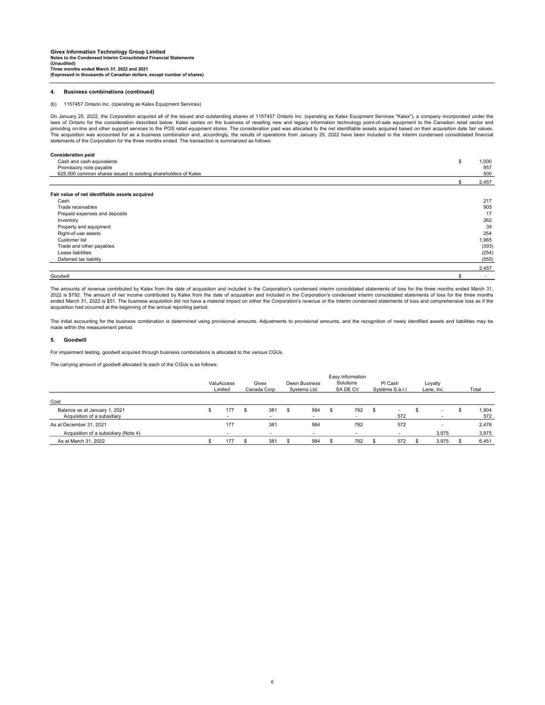#### 4. Business combinations (continued)

#### (b) 1157457 Ontario Inc. (operating as Kalex Equipment Services)

On January 25, 2022, the Corporation acquired all of the issued and outstanding shares of 1157457 Ontario Inc. (operating as Kalex Equipment Services "Kalex"), a company incorporated under the<br>laws of Ontario for the consi providing on-line and other support services to the POS retail equipment stores. The consideration paid was allocated to the net identifiable assets acquired based on their acquisition date fair values.<br>The acquisition was statements of the Corporation for the three months ended. The transaction is summarized as follows:

| <b>Consideration paid</b>                                      |    |                          |
|----------------------------------------------------------------|----|--------------------------|
| Cash and cash equivalents                                      | \$ | 1,000                    |
| Promissory note payable                                        |    | 957                      |
| 625,000 common shares issued to existing shareholders of Kalex |    | 500                      |
|                                                                |    | 2,457                    |
| Fair value of net identifiable assets acquired                 |    |                          |
| Cash                                                           |    | 217                      |
| Trade receivables                                              |    | 905                      |
| Prepaid expenses and deposits                                  |    | 17                       |
| Inventory                                                      |    | 262                      |
| Property and equipment                                         |    | 39                       |
| Right-of-use assets                                            |    | 254                      |
| Customer list                                                  |    | 1,965                    |
| Trade and other payables                                       |    | (393)                    |
| Lease liabilities                                              |    | (254)                    |
| Deferred tax liability                                         |    | (555)                    |
|                                                                |    | 2,457                    |
| Goodwill                                                       | S  | $\overline{\phantom{a}}$ |

The amounts of revenue contributed by Kalex from the date of acquisition and included in the Corporation's condensed interim consolidated statements of loss for the three months ended March 31, 2022 is \$792. The amount of net income contributed by Kalex from the date of acquisition and included in the Corporation's condensed interim consolidated statements of loss for the three months ended March 31, 2022 is \$51. The business acquisition did not have a material impact on either the Corporation's revenue or the interim condensed statements of loss and comprehensive loss as if the acquisition had occurred at the beginning of the annual reporting period.

The initial accounting for the business combination is determined using provisional amounts. Adjustments to provisional amounts, and the recognition of newly identified assets and liabilities may be made within the measurement period.

#### 5. Goodwill

For impairment testing, goodwill acquired through business combinations is allocated to the various CGUs.

The carrying amount of goodwill allocated to each of the CGUs is as follows:

|                                                              |  |            |  |         |   |     |     | Easy Information |      |          |  |                          |              |  |  |  |  |  |  |  |  |  |  |  |  |  |  |                      |  |                                      |  |                       |                            |  |                       |  |       |
|--------------------------------------------------------------|--|------------|--|---------|---|-----|-----|------------------|------|----------|--|--------------------------|--------------|--|--|--|--|--|--|--|--|--|--|--|--|--|--|----------------------|--|--------------------------------------|--|-----------------------|----------------------------|--|-----------------------|--|-------|
|                                                              |  | ValuAccess |  | Limited |   |     |     |                  |      |          |  |                          |              |  |  |  |  |  |  |  |  |  |  |  |  |  |  | Givex<br>Canada Corp |  | <b>Owen Business</b><br>Systems Ltd. |  | Solutions<br>SA DE CV | PI Cash<br>Système S.à.r.l |  | Loyalty<br>Lane, Inc. |  | Total |
| Cost                                                         |  |            |  |         |   |     |     |                  |      |          |  |                          |              |  |  |  |  |  |  |  |  |  |  |  |  |  |  |                      |  |                                      |  |                       |                            |  |                       |  |       |
| Balance as at January 1, 2021<br>Acquisition of a subsidiary |  | 177        |  | 381     | S | 584 | \$. | 762              | - 35 | -<br>572 |  | $\overline{\phantom{a}}$ | 1,904<br>572 |  |  |  |  |  |  |  |  |  |  |  |  |  |  |                      |  |                                      |  |                       |                            |  |                       |  |       |
| As at December 31, 2021                                      |  | 177        |  | 381     |   | 584 |     | 762              |      | 572      |  |                          | 2,476        |  |  |  |  |  |  |  |  |  |  |  |  |  |  |                      |  |                                      |  |                       |                            |  |                       |  |       |
| Acquisition of a subsidiary (Note 4)                         |  |            |  | -       |   |     |     |                  |      |          |  | 3,975                    | 3,975        |  |  |  |  |  |  |  |  |  |  |  |  |  |  |                      |  |                                      |  |                       |                            |  |                       |  |       |
| As at March 31, 2022                                         |  | 177        |  | 381     |   | 584 |     | 762              |      | 572      |  | 3.975                    | 6,451        |  |  |  |  |  |  |  |  |  |  |  |  |  |  |                      |  |                                      |  |                       |                            |  |                       |  |       |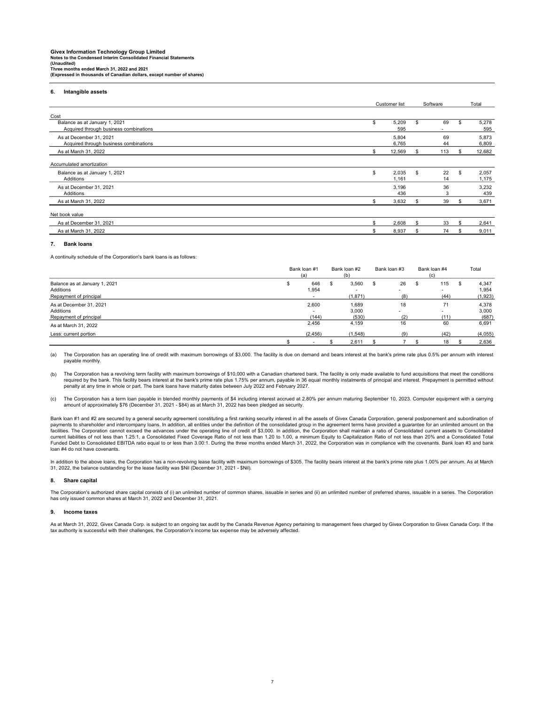#### 6. Intangible assets

|                                                                         |     | Customer list<br>\$<br>5,209<br>595<br>5,804<br>6,765<br>12,569<br>\$ |    |          |     | Software       |  | Total |
|-------------------------------------------------------------------------|-----|-----------------------------------------------------------------------|----|----------|-----|----------------|--|-------|
| Cost                                                                    |     |                                                                       |    |          |     |                |  |       |
| Balance as at January 1, 2021<br>Acquired through business combinations |     |                                                                       | S  | 69       | \$. | 5,278<br>595   |  |       |
| As at December 31, 2021<br>Acquired through business combinations       |     |                                                                       |    | 69<br>44 |     | 5,873<br>6,809 |  |       |
| As at March 31, 2022                                                    |     |                                                                       | £. | 113      | S.  | 12,682         |  |       |
| Accumulated amortization                                                |     |                                                                       |    |          |     |                |  |       |
| Balance as at January 1, 2021<br>Additions                              | \$  | 2,035<br>1,161                                                        | s  | 22<br>14 | \$  | 2,057<br>1,175 |  |       |
| As at December 31, 2021<br>Additions                                    |     | 3,196<br>436                                                          |    | 36<br>3  |     | 3,232<br>439   |  |       |
| As at March 31, 2022                                                    | \$  | 3,632                                                                 | £. | 39       | \$. | 3,671          |  |       |
| Net book value                                                          |     |                                                                       |    |          |     |                |  |       |
| As at December 31, 2021                                                 | ፍ   | 2,608                                                                 | ፍ  | 33       |     | 2,641          |  |       |
| As at March 31, 2022                                                    | \$. | 8,937                                                                 | \$ | 74       | £.  | 9,011          |  |       |

#### 7. Bank loans

A continuity schedule of the Corporation's bank loans is as follows:

|                                                                      | Bank loan #1<br>(a)                        |   | Bank loan #2<br>(b)     | Bank loan #3                                | Bank loan #4<br>(c)    | Total |                           |
|----------------------------------------------------------------------|--------------------------------------------|---|-------------------------|---------------------------------------------|------------------------|-------|---------------------------|
| Balance as at January 1, 2021<br>Additions<br>Repayment of principal | 646<br>1,954                               | ж | 3,560<br>(1,871)        | 26<br>\$<br>$\overline{\phantom{a}}$<br>(8) | 115<br>-S<br>-<br>(44) | -30   | 4,347<br>1,954<br>(1,923) |
| As at December 31, 2021<br>Additions<br>Repayment of principal       | 2,600<br>$\overline{\phantom{a}}$<br>(144) |   | 1,689<br>3,000<br>(530) | 18<br>(2)                                   | 71<br>-<br>(11)        |       | 4,378<br>3,000<br>(687)   |
| As at March 31, 2022                                                 | 2,456                                      |   | 4,159                   | 16                                          | 60                     |       | 6,691                     |
| Less: current portion                                                | (2, 456)                                   |   | (1,548)                 | (9)                                         | (42)                   |       | (4,055)                   |
|                                                                      | $\overline{\phantom{a}}$                   |   | 2,611                   |                                             | 18                     |       | 2,636                     |

(a) The Corporation has an operating line of credit with maximum borrowings of \$3,000. The facility is due on demand and bears interest at the bank's prime rate plus 0.5% per annum with interest payable monthly.

(b) The Corporation has a revolving term facility with maximum borrowings of \$10,000 with a Canadian chartered bank. The facility is only made available to fund acquisitions that meet the conditions required by the bank. This facility bears interest at the bank's prime rate plus 1.75% per annum, payable in 36 equal monthly instalments of principal and interest. Prepayment is permitted without<br>penalty at any time in wh

(c) The Corporation has a term loan payable in blended monthly payments of \$4 including interest accrued at 2.80% per annum maturing September 10, 2023. Computer equipment with a carrying<br>amount of approximately \$76 (Decem

Bank loan #1 and #2 are secured by a general security agreement constituting a first ranking security interest in all the assets of Givex Canada Corporation, general postponement and subordination of payments to shareholder and intercompany loans. In addition, all entities under the definition of the consolidated group in the agreement terms have provided a guarantee for an unlimited amount on the<br>facilities. The Corpo current liabilities of not less than 1.25:1, a Consolidated Fixed Coverage Ratio of not less than 1.20 to 1.00, a minimum Equity to Capitalization Ratio of not less than 20% and a Consolidated Total Funded Debt to Consolidated EBITDA ratio equal to or less than 3.00:1. During the three months ended March 31, 2022, the Corporation was in compliance with the covenants. Bank loan #3 and bank loan #4 do not have covenants.

In addition to the above loans, the Corporation has a non-revolving lease facility with maximum borrowings of \$305. The facility bears interest at the bank's prime rate plus 1.00% per annum. As at March<br>31, 2022, the balan

#### 8. Share capital

The Corporation's authorized share capital consists of (i) an unlimited number of common shares, issuable in series and (ii) an unlimited number of preferred shares, issuable in a series. The Corporation has only issued common shares at March 31, 2022 and December 31, 2021.

#### 9. Income taxes

As at March 31, 2022, Givex Canada Corp. is subject to an ongoing tax audit by the Canada Revenue Agency pertaining to management fees charged by Givex Corporation to Givex Canada Corp. If the tax authority is successful with their challenges, the Corporation's income tax expense may be adversely affected.